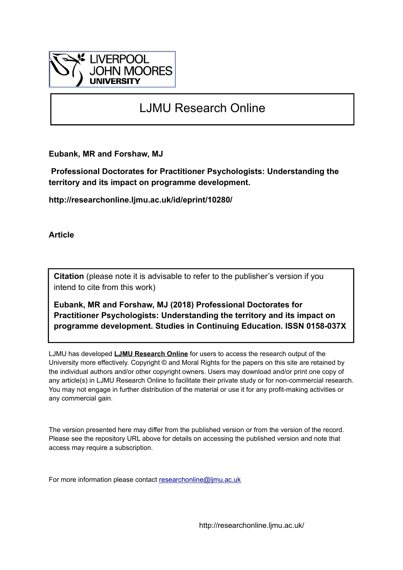

# LJMU Research Online

**Eubank, MR and Forshaw, MJ**

 **Professional Doctorates for Practitioner Psychologists: Understanding the territory and its impact on programme development.**

**http://researchonline.ljmu.ac.uk/id/eprint/10280/**

**Article**

**Citation** (please note it is advisable to refer to the publisher's version if you intend to cite from this work)

**Eubank, MR and Forshaw, MJ (2018) Professional Doctorates for Practitioner Psychologists: Understanding the territory and its impact on programme development. Studies in Continuing Education. ISSN 0158-037X**

LJMU has developed **[LJMU Research Online](http://researchonline.ljmu.ac.uk/)** for users to access the research output of the University more effectively. Copyright © and Moral Rights for the papers on this site are retained by the individual authors and/or other copyright owners. Users may download and/or print one copy of any article(s) in LJMU Research Online to facilitate their private study or for non-commercial research. You may not engage in further distribution of the material or use it for any profit-making activities or any commercial gain.

The version presented here may differ from the published version or from the version of the record. Please see the repository URL above for details on accessing the published version and note that access may require a subscription.

For more information please contact [researchonline@ljmu.ac.uk](mailto:researchonline@ljmu.ac.uk)

http://researchonline.ljmu.ac.uk/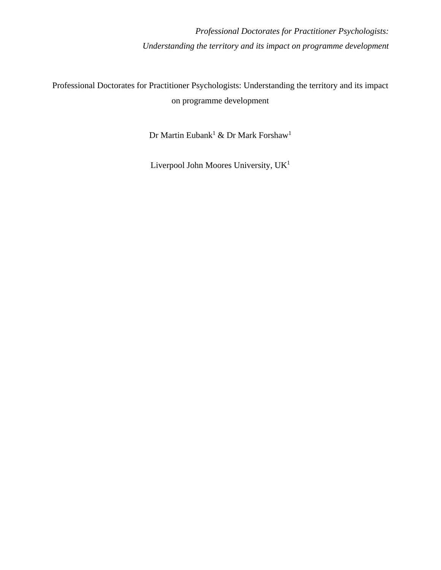Professional Doctorates for Practitioner Psychologists: Understanding the territory and its impact on programme development

Dr Martin Eubank<sup>1</sup> & Dr Mark Forshaw<sup>1</sup>

Liverpool John Moores University, UK<sup>1</sup>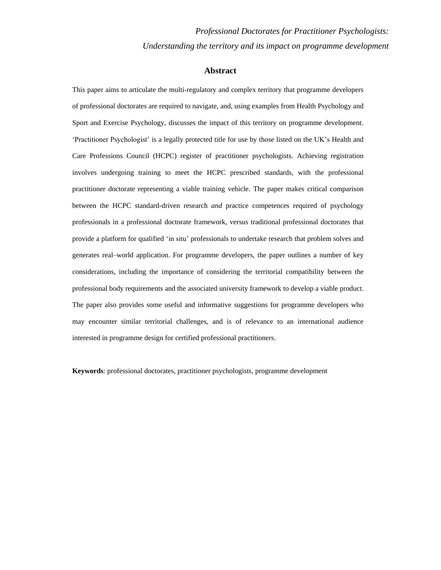#### **Abstract**

This paper aims to articulate the multi-regulatory and complex territory that programme developers of professional doctorates are required to navigate, and, using examples from Health Psychology and Sport and Exercise Psychology, discusses the impact of this territory on programme development. 'Practitioner Psychologist' is a legally protected title for use by those listed on the UK's Health and Care Professions Council (HCPC) register of practitioner psychologists. Achieving registration involves undergoing training to meet the HCPC prescribed standards, with the professional practitioner doctorate representing a viable training vehicle. The paper makes critical comparison between the HCPC standard-driven research *and* practice competences required of psychology professionals in a professional doctorate framework, versus traditional professional doctorates that provide a platform for qualified 'in situ' professionals to undertake research that problem solves and generates real–world application. For programme developers, the paper outlines a number of key considerations, including the importance of considering the territorial compatibility between the professional body requirements and the associated university framework to develop a viable product. The paper also provides some useful and informative suggestions for programme developers who may encounter similar territorial challenges, and is of relevance to an international audience interested in programme design for certified professional practitioners.

**Keywords**: professional doctorates, practitioner psychologists, programme development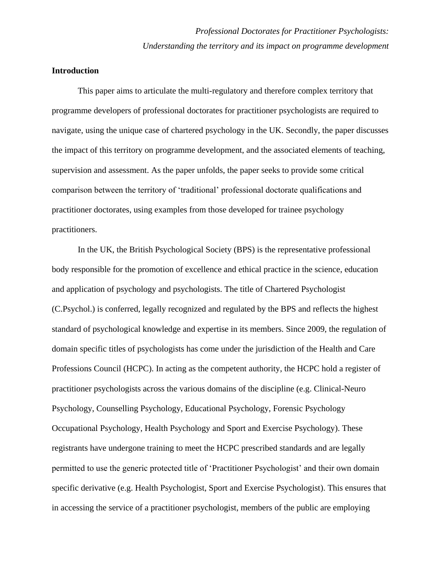#### **Introduction**

This paper aims to articulate the multi-regulatory and therefore complex territory that programme developers of professional doctorates for practitioner psychologists are required to navigate, using the unique case of chartered psychology in the UK. Secondly, the paper discusses the impact of this territory on programme development, and the associated elements of teaching, supervision and assessment. As the paper unfolds, the paper seeks to provide some critical comparison between the territory of 'traditional' professional doctorate qualifications and practitioner doctorates, using examples from those developed for trainee psychology practitioners.

In the UK, the British Psychological Society (BPS) is the representative professional body responsible for the promotion of excellence and ethical practice in the science, education and application of psychology and psychologists. The title of Chartered Psychologist (C.Psychol.) is conferred, legally recognized and regulated by the BPS and reflects the highest standard of psychological knowledge and expertise in its members. Since 2009, the regulation of domain specific titles of psychologists has come under the jurisdiction of the Health and Care Professions Council (HCPC). In acting as the competent authority, the HCPC hold a register of practitioner psychologists across the various domains of the discipline (e.g. Clinical-Neuro Psychology, Counselling Psychology, Educational Psychology, Forensic Psychology Occupational Psychology, Health Psychology and Sport and Exercise Psychology). These registrants have undergone training to meet the HCPC prescribed standards and are legally permitted to use the generic protected title of 'Practitioner Psychologist' and their own domain specific derivative (e.g. Health Psychologist, Sport and Exercise Psychologist). This ensures that in accessing the service of a practitioner psychologist, members of the public are employing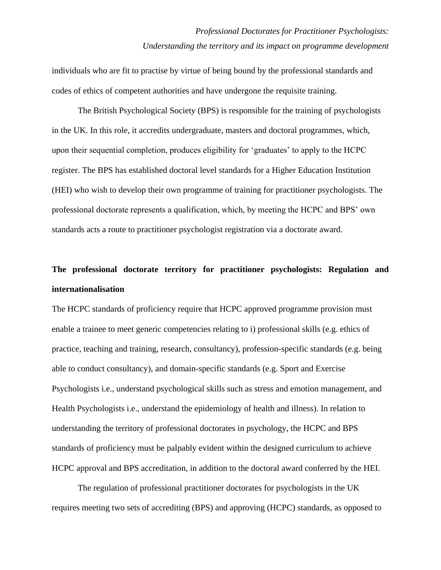individuals who are fit to practise by virtue of being bound by the professional standards and codes of ethics of competent authorities and have undergone the requisite training.

The British Psychological Society (BPS) is responsible for the training of psychologists in the UK. In this role, it accredits undergraduate, masters and doctoral programmes, which, upon their sequential completion, produces eligibility for 'graduates' to apply to the HCPC register. The BPS has established doctoral level standards for a Higher Education Institution (HEI) who wish to develop their own programme of training for practitioner psychologists. The professional doctorate represents a qualification, which, by meeting the HCPC and BPS' own standards acts a route to practitioner psychologist registration via a doctorate award.

## **The professional doctorate territory for practitioner psychologists: Regulation and internationalisation**

The HCPC standards of proficiency require that HCPC approved programme provision must enable a trainee to meet generic competencies relating to i) professional skills (e.g. ethics of practice, teaching and training, research, consultancy), profession-specific standards (e.g. being able to conduct consultancy), and domain-specific standards (e.g. Sport and Exercise Psychologists i.e., understand psychological skills such as stress and emotion management, and Health Psychologists i.e., understand the epidemiology of health and illness). In relation to understanding the territory of professional doctorates in psychology, the HCPC and BPS standards of proficiency must be palpably evident within the designed curriculum to achieve HCPC approval and BPS accreditation, in addition to the doctoral award conferred by the HEI.

The regulation of professional practitioner doctorates for psychologists in the UK requires meeting two sets of accrediting (BPS) and approving (HCPC) standards, as opposed to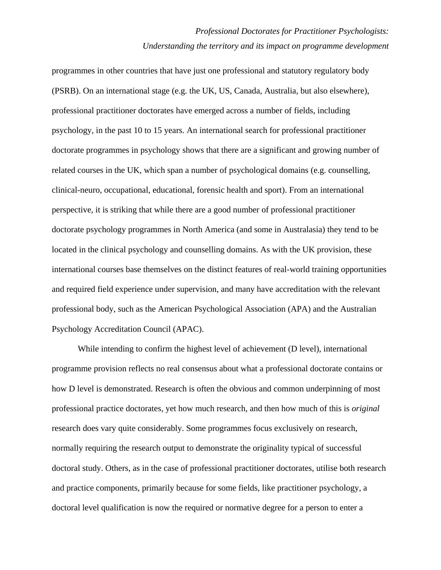programmes in other countries that have just one professional and statutory regulatory body (PSRB). On an international stage (e.g. the UK, US, Canada, Australia, but also elsewhere), professional practitioner doctorates have emerged across a number of fields, including psychology, in the past 10 to 15 years. An international search for professional practitioner doctorate programmes in psychology shows that there are a significant and growing number of related courses in the UK, which span a number of psychological domains (e.g. counselling, clinical-neuro, occupational, educational, forensic health and sport). From an international perspective, it is striking that while there are a good number of professional practitioner doctorate psychology programmes in North America (and some in Australasia) they tend to be located in the clinical psychology and counselling domains. As with the UK provision, these international courses base themselves on the distinct features of real-world training opportunities and required field experience under supervision, and many have accreditation with the relevant professional body, such as the American Psychological Association (APA) and the Australian Psychology Accreditation Council (APAC).

While intending to confirm the highest level of achievement (D level), international programme provision reflects no real consensus about what a professional doctorate contains or how D level is demonstrated. Research is often the obvious and common underpinning of most professional practice doctorates, yet how much research, and then how much of this is *original* research does vary quite considerably. Some programmes focus exclusively on research, normally requiring the research output to demonstrate the originality typical of successful doctoral study. Others, as in the case of professional practitioner doctorates, utilise both research and practice components, primarily because for some fields, like practitioner psychology, a doctoral level qualification is now the required or normative degree for a person to enter a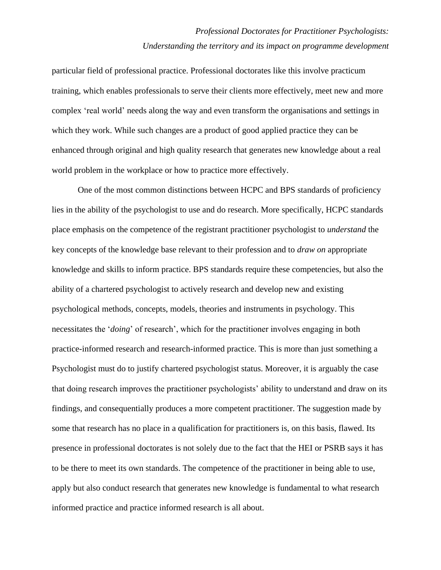particular field of professional practice. Professional doctorates like this involve practicum training, which enables professionals to serve their clients more effectively, meet new and more complex 'real world' needs along the way and even transform the organisations and settings in which they work. While such changes are a product of good applied practice they can be enhanced through original and high quality research that generates new knowledge about a real world problem in the workplace or how to practice more effectively.

One of the most common distinctions between HCPC and BPS standards of proficiency lies in the ability of the psychologist to use and do research. More specifically, HCPC standards place emphasis on the competence of the registrant practitioner psychologist to *understand* the key concepts of the knowledge base relevant to their profession and to *draw on* appropriate knowledge and skills to inform practice. BPS standards require these competencies, but also the ability of a chartered psychologist to actively research and develop new and existing psychological methods, concepts, models, theories and instruments in psychology. This necessitates the '*doing*' of research', which for the practitioner involves engaging in both practice-informed research and research-informed practice. This is more than just something a Psychologist must do to justify chartered psychologist status. Moreover, it is arguably the case that doing research improves the practitioner psychologists' ability to understand and draw on its findings, and consequentially produces a more competent practitioner. The suggestion made by some that research has no place in a qualification for practitioners is, on this basis, flawed. Its presence in professional doctorates is not solely due to the fact that the HEI or PSRB says it has to be there to meet its own standards. The competence of the practitioner in being able to use, apply but also conduct research that generates new knowledge is fundamental to what research informed practice and practice informed research is all about.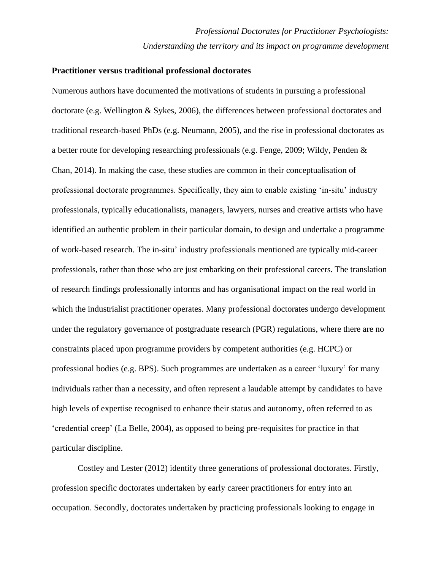#### **Practitioner versus traditional professional doctorates**

Numerous authors have documented the motivations of students in pursuing a professional doctorate (e.g. Wellington & Sykes, 2006), the differences between professional doctorates and traditional research-based PhDs (e.g. Neumann, 2005), and the rise in professional doctorates as a better route for developing researching professionals (e.g. Fenge, 2009; Wildy, Penden & Chan, 2014). In making the case, these studies are common in their conceptualisation of professional doctorate programmes. Specifically, they aim to enable existing 'in-situ' industry professionals, typically educationalists, managers, lawyers, nurses and creative artists who have identified an authentic problem in their particular domain, to design and undertake a programme of work-based research. The in-situ' industry professionals mentioned are typically mid-career professionals, rather than those who are just embarking on their professional careers. The translation of research findings professionally informs and has organisational impact on the real world in which the industrialist practitioner operates. Many professional doctorates undergo development under the regulatory governance of postgraduate research (PGR) regulations, where there are no constraints placed upon programme providers by competent authorities (e.g. HCPC) or professional bodies (e.g. BPS). Such programmes are undertaken as a career 'luxury' for many individuals rather than a necessity, and often represent a laudable attempt by candidates to have high levels of expertise recognised to enhance their status and autonomy, often referred to as 'credential creep' (La Belle, 2004), as opposed to being pre-requisites for practice in that particular discipline.

Costley and Lester (2012) identify three generations of professional doctorates. Firstly, profession specific doctorates undertaken by early career practitioners for entry into an occupation. Secondly, doctorates undertaken by practicing professionals looking to engage in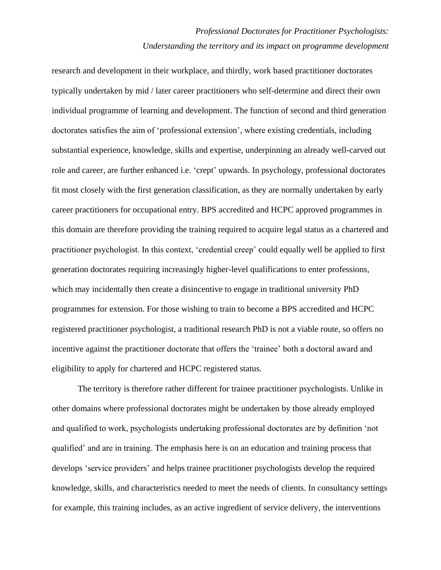research and development in their workplace, and thirdly, work based practitioner doctorates typically undertaken by mid / later career practitioners who self-determine and direct their own individual programme of learning and development. The function of second and third generation doctorates satisfies the aim of 'professional extension', where existing credentials, including substantial experience, knowledge, skills and expertise, underpinning an already well-carved out role and career, are further enhanced i.e. 'crept' upwards. In psychology, professional doctorates fit most closely with the first generation classification, as they are normally undertaken by early career practitioners for occupational entry. BPS accredited and HCPC approved programmes in this domain are therefore providing the training required to acquire legal status as a chartered and practitioner psychologist. In this context, 'credential creep' could equally well be applied to first generation doctorates requiring increasingly higher-level qualifications to enter professions, which may incidentally then create a disincentive to engage in traditional university PhD programmes for extension. For those wishing to train to become a BPS accredited and HCPC registered practitioner psychologist, a traditional research PhD is not a viable route, so offers no incentive against the practitioner doctorate that offers the 'trainee' both a doctoral award and eligibility to apply for chartered and HCPC registered status.

The territory is therefore rather different for trainee practitioner psychologists. Unlike in other domains where professional doctorates might be undertaken by those already employed and qualified to work, psychologists undertaking professional doctorates are by definition 'not qualified' and are in training. The emphasis here is on an education and training process that develops 'service providers' and helps trainee practitioner psychologists develop the required knowledge, skills, and characteristics needed to meet the needs of clients. In consultancy settings for example, this training includes, as an active ingredient of service delivery, the interventions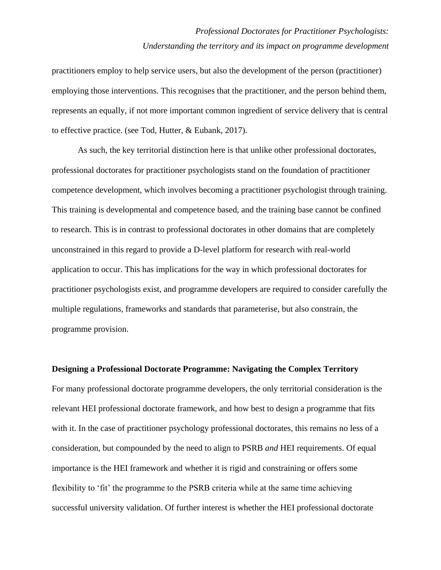practitioners employ to help service users, but also the development of the person (practitioner) employing those interventions. This recognises that the practitioner, and the person behind them, represents an equally, if not more important common ingredient of service delivery that is central to effective practice. (see Tod, Hutter, & Eubank, 2017).

As such, the key territorial distinction here is that unlike other professional doctorates, professional doctorates for practitioner psychologists stand on the foundation of practitioner competence development, which involves becoming a practitioner psychologist through training. This training is developmental and competence based, and the training base cannot be confined to research. This is in contrast to professional doctorates in other domains that are completely unconstrained in this regard to provide a D-level platform for research with real-world application to occur. This has implications for the way in which professional doctorates for practitioner psychologists exist, and programme developers are required to consider carefully the multiple regulations, frameworks and standards that parameterise, but also constrain, the programme provision.

#### **Designing a Professional Doctorate Programme: Navigating the Complex Territory**

For many professional doctorate programme developers, the only territorial consideration is the relevant HEI professional doctorate framework, and how best to design a programme that fits with it. In the case of practitioner psychology professional doctorates, this remains no less of a consideration, but compounded by the need to align to PSRB *and* HEI requirements. Of equal importance is the HEI framework and whether it is rigid and constraining or offers some flexibility to 'fit' the programme to the PSRB criteria while at the same time achieving successful university validation. Of further interest is whether the HEI professional doctorate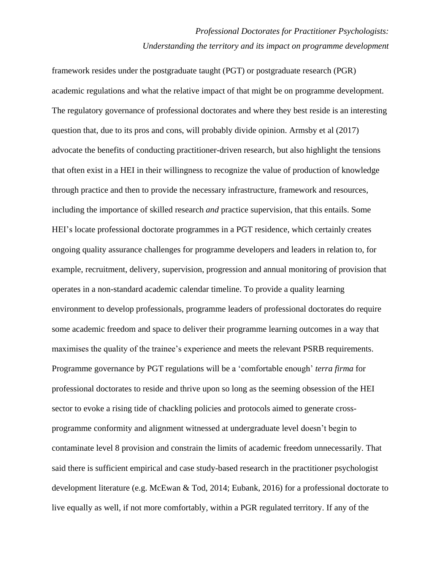framework resides under the postgraduate taught (PGT) or postgraduate research (PGR) academic regulations and what the relative impact of that might be on programme development. The regulatory governance of professional doctorates and where they best reside is an interesting question that, due to its pros and cons, will probably divide opinion. Armsby et al (2017) advocate the benefits of conducting practitioner-driven research, but also highlight the tensions that often exist in a HEI in their willingness to recognize the value of production of knowledge through practice and then to provide the necessary infrastructure, framework and resources, including the importance of skilled research *and* practice supervision, that this entails. Some HEI's locate professional doctorate programmes in a PGT residence, which certainly creates ongoing quality assurance challenges for programme developers and leaders in relation to, for example, recruitment, delivery, supervision, progression and annual monitoring of provision that operates in a non-standard academic calendar timeline. To provide a quality learning environment to develop professionals, programme leaders of professional doctorates do require some academic freedom and space to deliver their programme learning outcomes in a way that maximises the quality of the trainee's experience and meets the relevant PSRB requirements. Programme governance by PGT regulations will be a 'comfortable enough' *terra firma* for professional doctorates to reside and thrive upon so long as the seeming obsession of the HEI sector to evoke a rising tide of chackling policies and protocols aimed to generate crossprogramme conformity and alignment witnessed at undergraduate level doesn't begin to contaminate level 8 provision and constrain the limits of academic freedom unnecessarily. That said there is sufficient empirical and case study-based research in the practitioner psychologist development literature (e.g. McEwan & Tod, 2014; Eubank, 2016) for a professional doctorate to live equally as well, if not more comfortably, within a PGR regulated territory. If any of the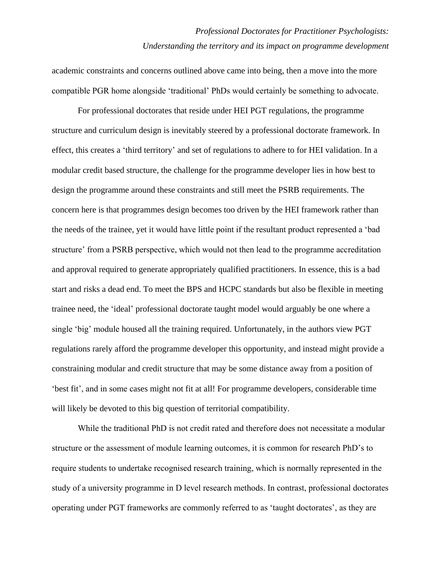academic constraints and concerns outlined above came into being, then a move into the more compatible PGR home alongside 'traditional' PhDs would certainly be something to advocate.

For professional doctorates that reside under HEI PGT regulations, the programme structure and curriculum design is inevitably steered by a professional doctorate framework. In effect, this creates a 'third territory' and set of regulations to adhere to for HEI validation. In a modular credit based structure, the challenge for the programme developer lies in how best to design the programme around these constraints and still meet the PSRB requirements. The concern here is that programmes design becomes too driven by the HEI framework rather than the needs of the trainee, yet it would have little point if the resultant product represented a 'bad structure' from a PSRB perspective, which would not then lead to the programme accreditation and approval required to generate appropriately qualified practitioners. In essence, this is a bad start and risks a dead end. To meet the BPS and HCPC standards but also be flexible in meeting trainee need, the 'ideal' professional doctorate taught model would arguably be one where a single 'big' module housed all the training required. Unfortunately, in the authors view PGT regulations rarely afford the programme developer this opportunity, and instead might provide a constraining modular and credit structure that may be some distance away from a position of 'best fit', and in some cases might not fit at all! For programme developers, considerable time will likely be devoted to this big question of territorial compatibility.

While the traditional PhD is not credit rated and therefore does not necessitate a modular structure or the assessment of module learning outcomes, it is common for research PhD's to require students to undertake recognised research training, which is normally represented in the study of a university programme in D level research methods. In contrast, professional doctorates operating under PGT frameworks are commonly referred to as 'taught doctorates', as they are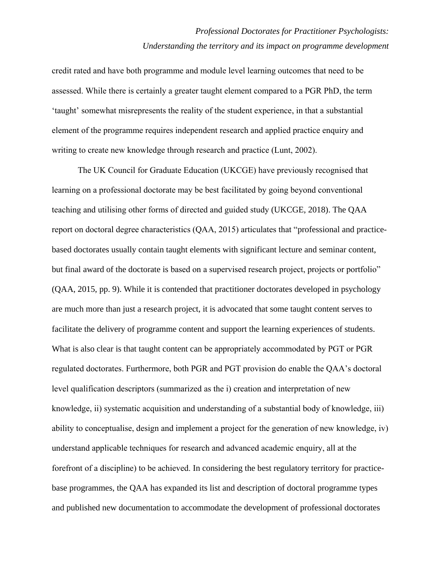credit rated and have both programme and module level learning outcomes that need to be assessed. While there is certainly a greater taught element compared to a PGR PhD, the term 'taught' somewhat misrepresents the reality of the student experience, in that a substantial element of the programme requires independent research and applied practice enquiry and writing to create new knowledge through research and practice (Lunt, 2002).

The UK Council for Graduate Education (UKCGE) have previously recognised that learning on a professional doctorate may be best facilitated by going beyond conventional teaching and utilising other forms of directed and guided study (UKCGE, 2018). The QAA report on doctoral degree characteristics (QAA, 2015) articulates that "professional and practicebased doctorates usually contain taught elements with significant lecture and seminar content, but final award of the doctorate is based on a supervised research project, projects or portfolio" (QAA, 2015, pp. 9). While it is contended that practitioner doctorates developed in psychology are much more than just a research project, it is advocated that some taught content serves to facilitate the delivery of programme content and support the learning experiences of students. What is also clear is that taught content can be appropriately accommodated by PGT or PGR regulated doctorates. Furthermore, both PGR and PGT provision do enable the QAA's doctoral level qualification descriptors (summarized as the i) creation and interpretation of new knowledge, ii) systematic acquisition and understanding of a substantial body of knowledge, iii) ability to conceptualise, design and implement a project for the generation of new knowledge, iv) understand applicable techniques for research and advanced academic enquiry, all at the forefront of a discipline) to be achieved. In considering the best regulatory territory for practicebase programmes, the QAA has expanded its list and description of doctoral programme types and published new documentation to accommodate the development of professional doctorates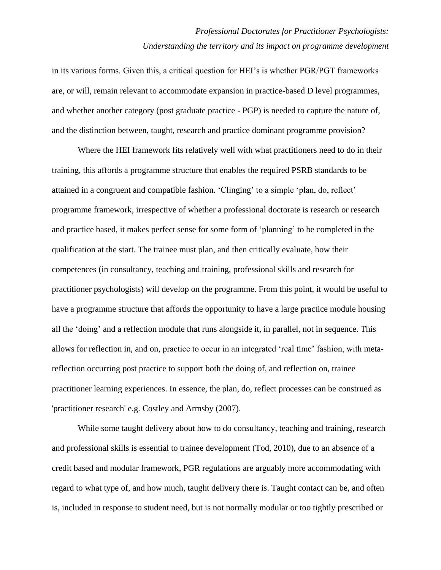in its various forms. Given this, a critical question for HEI's is whether PGR/PGT frameworks are, or will, remain relevant to accommodate expansion in practice-based D level programmes, and whether another category (post graduate practice - PGP) is needed to capture the nature of, and the distinction between, taught, research and practice dominant programme provision?

Where the HEI framework fits relatively well with what practitioners need to do in their training, this affords a programme structure that enables the required PSRB standards to be attained in a congruent and compatible fashion. 'Clinging' to a simple 'plan, do, reflect' programme framework, irrespective of whether a professional doctorate is research or research and practice based, it makes perfect sense for some form of 'planning' to be completed in the qualification at the start. The trainee must plan, and then critically evaluate, how their competences (in consultancy, teaching and training, professional skills and research for practitioner psychologists) will develop on the programme. From this point, it would be useful to have a programme structure that affords the opportunity to have a large practice module housing all the 'doing' and a reflection module that runs alongside it, in parallel, not in sequence. This allows for reflection in, and on, practice to occur in an integrated 'real time' fashion, with metareflection occurring post practice to support both the doing of, and reflection on, trainee practitioner learning experiences. In essence, the plan, do, reflect processes can be construed as 'practitioner research' e.g. Costley and Armsby (2007).

While some taught delivery about how to do consultancy, teaching and training, research and professional skills is essential to trainee development (Tod, 2010), due to an absence of a credit based and modular framework, PGR regulations are arguably more accommodating with regard to what type of, and how much, taught delivery there is. Taught contact can be, and often is, included in response to student need, but is not normally modular or too tightly prescribed or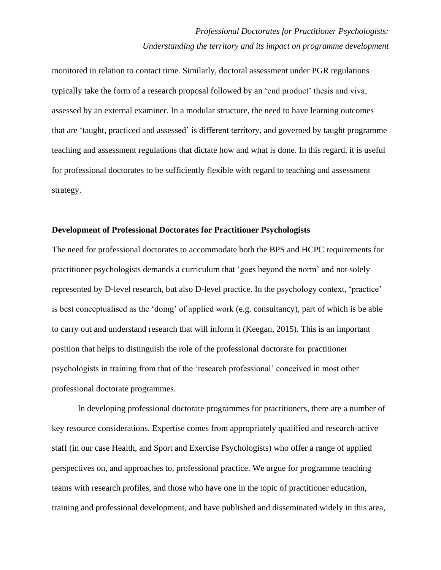monitored in relation to contact time. Similarly, doctoral assessment under PGR regulations typically take the form of a research proposal followed by an 'end product' thesis and viva, assessed by an external examiner. In a modular structure, the need to have learning outcomes that are 'taught, practiced and assessed' is different territory, and governed by taught programme teaching and assessment regulations that dictate how and what is done. In this regard, it is useful for professional doctorates to be sufficiently flexible with regard to teaching and assessment strategy.

#### **Development of Professional Doctorates for Practitioner Psychologists**

The need for professional doctorates to accommodate both the BPS and HCPC requirements for practitioner psychologists demands a curriculum that 'goes beyond the norm' and not solely represented by D-level research, but also D-level practice. In the psychology context, 'practice' is best conceptualised as the 'doing' of applied work (e.g. consultancy), part of which is be able to carry out and understand research that will inform it (Keegan, 2015). This is an important position that helps to distinguish the role of the professional doctorate for practitioner psychologists in training from that of the 'research professional' conceived in most other professional doctorate programmes.

In developing professional doctorate programmes for practitioners, there are a number of key resource considerations. Expertise comes from appropriately qualified and research-active staff (in our case Health, and Sport and Exercise Psychologists) who offer a range of applied perspectives on, and approaches to, professional practice. We argue for programme teaching teams with research profiles, and those who have one in the topic of practitioner education, training and professional development, and have published and disseminated widely in this area,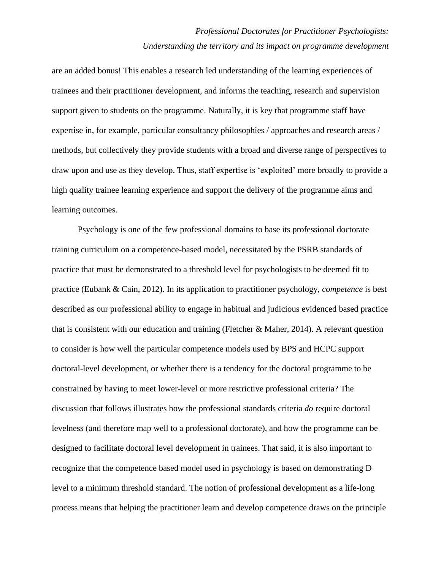are an added bonus! This enables a research led understanding of the learning experiences of trainees and their practitioner development, and informs the teaching, research and supervision support given to students on the programme. Naturally, it is key that programme staff have expertise in, for example, particular consultancy philosophies / approaches and research areas / methods, but collectively they provide students with a broad and diverse range of perspectives to draw upon and use as they develop. Thus, staff expertise is 'exploited' more broadly to provide a high quality trainee learning experience and support the delivery of the programme aims and learning outcomes.

Psychology is one of the few professional domains to base its professional doctorate training curriculum on a competence-based model, necessitated by the PSRB standards of practice that must be demonstrated to a threshold level for psychologists to be deemed fit to practice (Eubank & Cain, 2012). In its application to practitioner psychology, *competence* is best described as our professional ability to engage in habitual and judicious evidenced based practice that is consistent with our education and training (Fletcher & Maher, 2014). A relevant question to consider is how well the particular competence models used by BPS and HCPC support doctoral-level development, or whether there is a tendency for the doctoral programme to be constrained by having to meet lower-level or more restrictive professional criteria? The discussion that follows illustrates how the professional standards criteria *do* require doctoral levelness (and therefore map well to a professional doctorate), and how the programme can be designed to facilitate doctoral level development in trainees. That said, it is also important to recognize that the competence based model used in psychology is based on demonstrating D level to a minimum threshold standard. The notion of professional development as a life-long process means that helping the practitioner learn and develop competence draws on the principle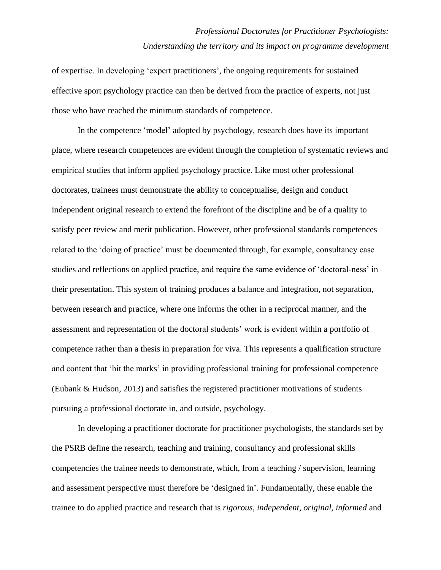of expertise. In developing 'expert practitioners', the ongoing requirements for sustained effective sport psychology practice can then be derived from the practice of experts, not just those who have reached the minimum standards of competence.

In the competence 'model' adopted by psychology, research does have its important place, where research competences are evident through the completion of systematic reviews and empirical studies that inform applied psychology practice. Like most other professional doctorates, trainees must demonstrate the ability to conceptualise, design and conduct independent original research to extend the forefront of the discipline and be of a quality to satisfy peer review and merit publication. However, other professional standards competences related to the 'doing of practice' must be documented through, for example, consultancy case studies and reflections on applied practice, and require the same evidence of 'doctoral-ness' in their presentation. This system of training produces a balance and integration, not separation, between research and practice, where one informs the other in a reciprocal manner, and the assessment and representation of the doctoral students' work is evident within a portfolio of competence rather than a thesis in preparation for viva. This represents a qualification structure and content that 'hit the marks' in providing professional training for professional competence (Eubank & Hudson, 2013) and satisfies the registered practitioner motivations of students pursuing a professional doctorate in, and outside, psychology.

In developing a practitioner doctorate for practitioner psychologists, the standards set by the PSRB define the research, teaching and training, consultancy and professional skills competencies the trainee needs to demonstrate, which, from a teaching / supervision, learning and assessment perspective must therefore be 'designed in'. Fundamentally, these enable the trainee to do applied practice and research that is *rigorous, independent, original, informed* and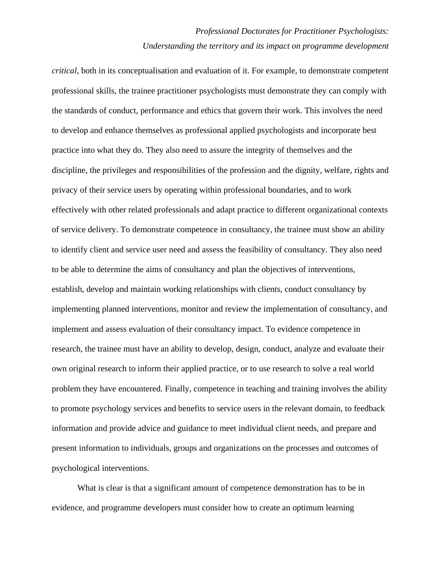*critical,* both in its conceptualisation and evaluation of it. For example, to demonstrate competent professional skills, the trainee practitioner psychologists must demonstrate they can comply with the standards of conduct, performance and ethics that govern their work. This involves the need to develop and enhance themselves as professional applied psychologists and incorporate best practice into what they do. They also need to assure the integrity of themselves and the discipline, the privileges and responsibilities of the profession and the dignity, welfare, rights and privacy of their service users by operating within professional boundaries, and to work effectively with other related professionals and adapt practice to different organizational contexts of service delivery. To demonstrate competence in consultancy, the trainee must show an ability to identify client and service user need and assess the feasibility of consultancy. They also need to be able to determine the aims of consultancy and plan the objectives of interventions, establish, develop and maintain working relationships with clients, conduct consultancy by implementing planned interventions, monitor and review the implementation of consultancy, and implement and assess evaluation of their consultancy impact. To evidence competence in research, the trainee must have an ability to develop, design, conduct, analyze and evaluate their own original research to inform their applied practice, or to use research to solve a real world problem they have encountered. Finally, competence in teaching and training involves the ability to promote psychology services and benefits to service users in the relevant domain, to feedback information and provide advice and guidance to meet individual client needs, and prepare and present information to individuals, groups and organizations on the processes and outcomes of psychological interventions.

What is clear is that a significant amount of competence demonstration has to be in evidence, and programme developers must consider how to create an optimum learning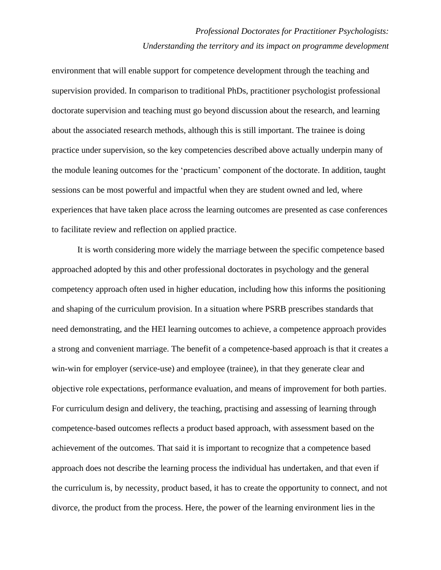environment that will enable support for competence development through the teaching and supervision provided. In comparison to traditional PhDs, practitioner psychologist professional doctorate supervision and teaching must go beyond discussion about the research, and learning about the associated research methods, although this is still important. The trainee is doing practice under supervision, so the key competencies described above actually underpin many of the module leaning outcomes for the 'practicum' component of the doctorate. In addition, taught sessions can be most powerful and impactful when they are student owned and led, where experiences that have taken place across the learning outcomes are presented as case conferences to facilitate review and reflection on applied practice.

It is worth considering more widely the marriage between the specific competence based approached adopted by this and other professional doctorates in psychology and the general competency approach often used in higher education, including how this informs the positioning and shaping of the curriculum provision. In a situation where PSRB prescribes standards that need demonstrating, and the HEI learning outcomes to achieve, a competence approach provides a strong and convenient marriage. The benefit of a competence-based approach is that it creates a win-win for employer (service-use) and employee (trainee), in that they generate clear and objective role [expectations,](http://www.thecompetencygroup.com/selection/competency-assessment/performance-standards.aspx) [performance evaluation,](http://www.thecompetencygroup.com/selection/competency-assessment/performance-assessment.aspx) and means of improvement for both parties. For curriculum design and delivery, the teaching, practising and assessing of learning through competence-based outcomes reflects a product based approach, with assessment based on the achievement of the outcomes. That said it is important to recognize that a competence based approach does not describe the learning process the individual has undertaken, and that even if the curriculum is, by necessity, product based, it has to create the opportunity to connect, and not divorce, the product from the process. Here, the power of the learning environment lies in the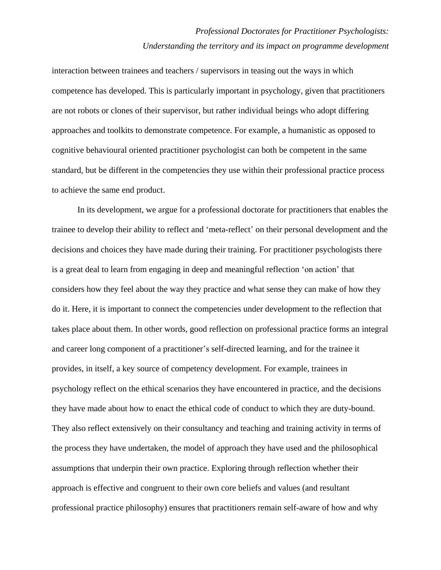interaction between trainees and teachers / supervisors in teasing out the ways in which competence has developed. This is particularly important in psychology, given that practitioners are not robots or clones of their supervisor, but rather individual beings who adopt differing approaches and toolkits to demonstrate competence. For example, a humanistic as opposed to cognitive behavioural oriented practitioner psychologist can both be competent in the same standard, but be different in the competencies they use within their professional practice process to achieve the same end product.

In its development, we argue for a professional doctorate for practitioners that enables the trainee to develop their ability to reflect and 'meta-reflect' on their personal development and the decisions and choices they have made during their training. For practitioner psychologists there is a great deal to learn from engaging in deep and meaningful reflection 'on action' that considers how they feel about the way they practice and what sense they can make of how they do it. Here, it is important to connect the competencies under development to the reflection that takes place about them. In other words, good reflection on professional practice forms an integral and career long component of a practitioner's self-directed learning, and for the trainee it provides, in itself, a key source of competency development. For example, trainees in psychology reflect on the ethical scenarios they have encountered in practice, and the decisions they have made about how to enact the ethical code of conduct to which they are duty-bound. They also reflect extensively on their consultancy and teaching and training activity in terms of the process they have undertaken, the model of approach they have used and the philosophical assumptions that underpin their own practice. Exploring through reflection whether their approach is effective and congruent to their own core beliefs and values (and resultant professional practice philosophy) ensures that practitioners remain self-aware of how and why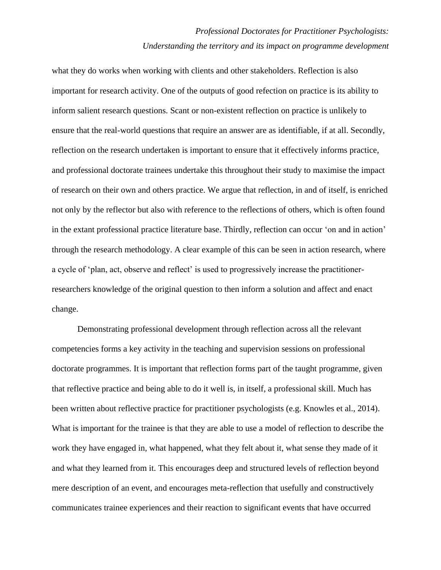what they do works when working with clients and other stakeholders. Reflection is also important for research activity. One of the outputs of good refection on practice is its ability to inform salient research questions. Scant or non-existent reflection on practice is unlikely to ensure that the real-world questions that require an answer are as identifiable, if at all. Secondly, reflection on the research undertaken is important to ensure that it effectively informs practice, and professional doctorate trainees undertake this throughout their study to maximise the impact of research on their own and others practice. We argue that reflection, in and of itself, is enriched not only by the reflector but also with reference to the reflections of others, which is often found in the extant professional practice literature base. Thirdly, reflection can occur 'on and in action' through the research methodology. A clear example of this can be seen in action research, where a cycle of 'plan, act, observe and reflect' is used to progressively increase the practitionerresearchers knowledge of the original question to then inform a solution and affect and enact change.

Demonstrating professional development through reflection across all the relevant competencies forms a key activity in the teaching and supervision sessions on professional doctorate programmes. It is important that reflection forms part of the taught programme, given that reflective practice and being able to do it well is, in itself, a professional skill. Much has been written about reflective practice for practitioner psychologists (e.g. Knowles et al., 2014). What is important for the trainee is that they are able to use a model of reflection to describe the work they have engaged in, what happened, what they felt about it, what sense they made of it and what they learned from it. This encourages deep and structured levels of reflection beyond mere description of an event, and encourages meta-reflection that usefully and constructively communicates trainee experiences and their reaction to significant events that have occurred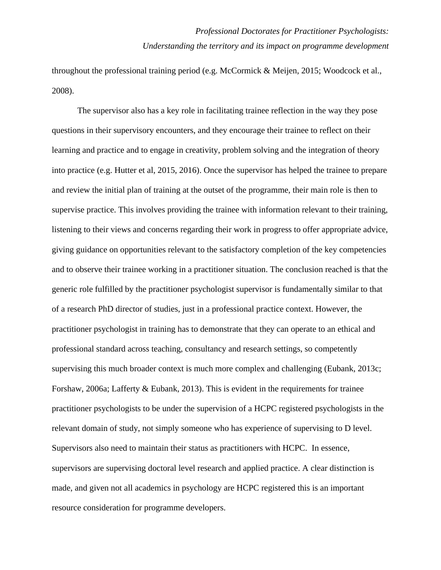throughout the professional training period (e.g. McCormick & Meijen, 2015; Woodcock et al., 2008).

The supervisor also has a key role in facilitating trainee reflection in the way they pose questions in their supervisory encounters, and they encourage their trainee to reflect on their learning and practice and to engage in creativity, problem solving and the integration of theory into practice (e.g. Hutter et al, 2015, 2016). Once the supervisor has helped the trainee to prepare and review the initial plan of training at the outset of the programme, their main role is then to supervise practice. This involves providing the trainee with information relevant to their training, listening to their views and concerns regarding their work in progress to offer appropriate advice, giving guidance on opportunities relevant to the satisfactory completion of the key competencies and to observe their trainee working in a practitioner situation. The conclusion reached is that the generic role fulfilled by the practitioner psychologist supervisor is fundamentally similar to that of a research PhD director of studies, just in a professional practice context. However, the practitioner psychologist in training has to demonstrate that they can operate to an ethical and professional standard across teaching, consultancy and research settings, so competently supervising this much broader context is much more complex and challenging (Eubank, 2013c; Forshaw, 2006a; Lafferty & Eubank, 2013). This is evident in the requirements for trainee practitioner psychologists to be under the supervision of a HCPC registered psychologists in the relevant domain of study, not simply someone who has experience of supervising to D level. Supervisors also need to maintain their status as practitioners with HCPC. In essence, supervisors are supervising doctoral level research and applied practice. A clear distinction is made, and given not all academics in psychology are HCPC registered this is an important resource consideration for programme developers.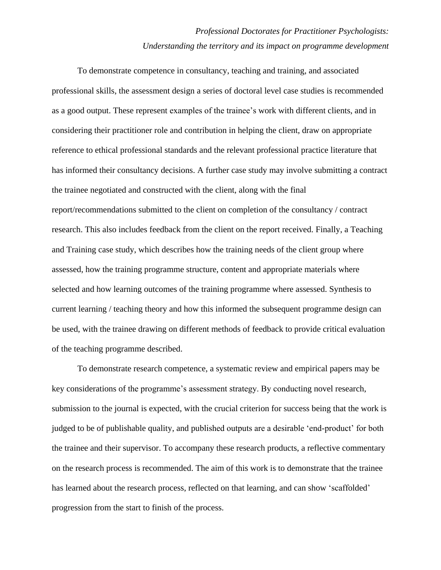To demonstrate competence in consultancy, teaching and training, and associated professional skills, the assessment design a series of doctoral level case studies is recommended as a good output. These represent examples of the trainee's work with different clients, and in considering their practitioner role and contribution in helping the client, draw on appropriate reference to ethical professional standards and the relevant professional practice literature that has informed their consultancy decisions. A further case study may involve submitting a contract the trainee negotiated and constructed with the client, along with the final report/recommendations submitted to the client on completion of the consultancy / contract research. This also includes feedback from the client on the report received. Finally, a Teaching and Training case study, which describes how the training needs of the client group where assessed, how the training programme structure, content and appropriate materials where selected and how learning outcomes of the training programme where assessed. Synthesis to current learning / teaching theory and how this informed the subsequent programme design can be used, with the trainee drawing on different methods of feedback to provide critical evaluation of the teaching programme described.

To demonstrate research competence, a systematic review and empirical papers may be key considerations of the programme's assessment strategy. By conducting novel research, submission to the journal is expected, with the crucial criterion for success being that the work is judged to be of publishable quality, and published outputs are a desirable 'end-product' for both the trainee and their supervisor. To accompany these research products, a reflective commentary on the research process is recommended. The aim of this work is to demonstrate that the trainee has learned about the research process, reflected on that learning, and can show 'scaffolded' progression from the start to finish of the process.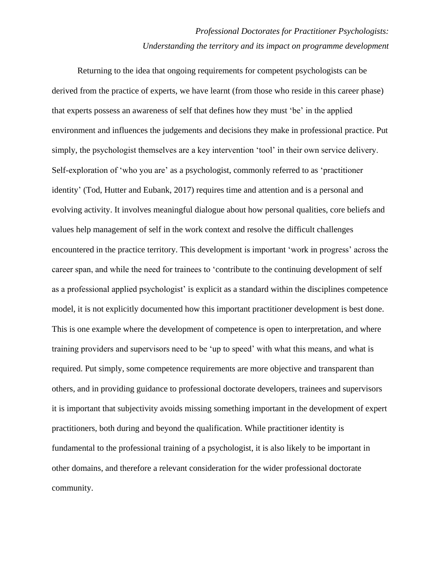Returning to the idea that ongoing requirements for competent psychologists can be derived from the practice of experts, we have learnt (from those who reside in this career phase) that experts possess an awareness of self that defines how they must 'be' in the applied environment and influences the judgements and decisions they make in professional practice. Put simply, the psychologist themselves are a key intervention 'tool' in their own service delivery. Self-exploration of 'who you are' as a psychologist, commonly referred to as 'practitioner identity' (Tod, Hutter and Eubank, 2017) requires time and attention and is a personal and evolving activity. It involves meaningful dialogue about how personal qualities, core beliefs and values help management of self in the work context and resolve the difficult challenges encountered in the practice territory. This development is important 'work in progress' across the career span, and while the need for trainees to 'contribute to the continuing development of self as a professional applied psychologist' is explicit as a standard within the disciplines competence model, it is not explicitly documented how this important practitioner development is best done. This is one example where the development of competence is open to interpretation, and where training providers and supervisors need to be 'up to speed' with what this means, and what is required. Put simply, some competence requirements are more objective and transparent than others, and in providing guidance to professional doctorate developers, trainees and supervisors it is important that subjectivity avoids missing something important in the development of expert practitioners, both during and beyond the qualification. While practitioner identity is fundamental to the professional training of a psychologist, it is also likely to be important in other domains, and therefore a relevant consideration for the wider professional doctorate community.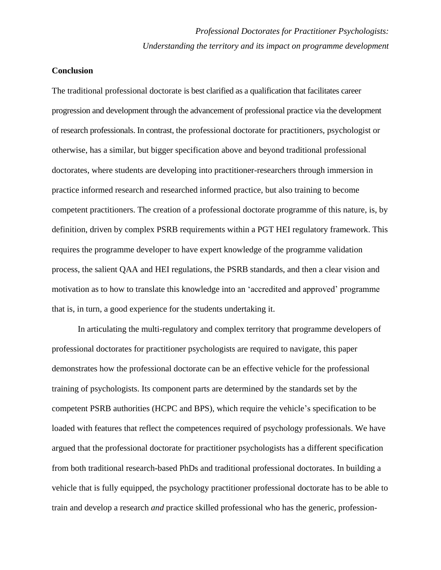#### **Conclusion**

The traditional professional doctorate is best clarified as a qualification that facilitates career progression and development through the advancement of professional practice via the development of research professionals. In contrast, the professional doctorate for practitioners, psychologist or otherwise, has a similar, but bigger specification above and beyond traditional professional doctorates, where students are developing into practitioner-researchers through immersion in practice informed research and researched informed practice, but also training to become competent practitioners. The creation of a professional doctorate programme of this nature, is, by definition, driven by complex PSRB requirements within a PGT HEI regulatory framework. This requires the programme developer to have expert knowledge of the programme validation process, the salient QAA and HEI regulations, the PSRB standards, and then a clear vision and motivation as to how to translate this knowledge into an 'accredited and approved' programme that is, in turn, a good experience for the students undertaking it.

In articulating the multi-regulatory and complex territory that programme developers of professional doctorates for practitioner psychologists are required to navigate, this paper demonstrates how the professional doctorate can be an effective vehicle for the professional training of psychologists. Its component parts are determined by the standards set by the competent PSRB authorities (HCPC and BPS), which require the vehicle's specification to be loaded with features that reflect the competences required of psychology professionals. We have argued that the professional doctorate for practitioner psychologists has a different specification from both traditional research-based PhDs and traditional professional doctorates. In building a vehicle that is fully equipped, the psychology practitioner professional doctorate has to be able to train and develop a research *and* practice skilled professional who has the generic, profession-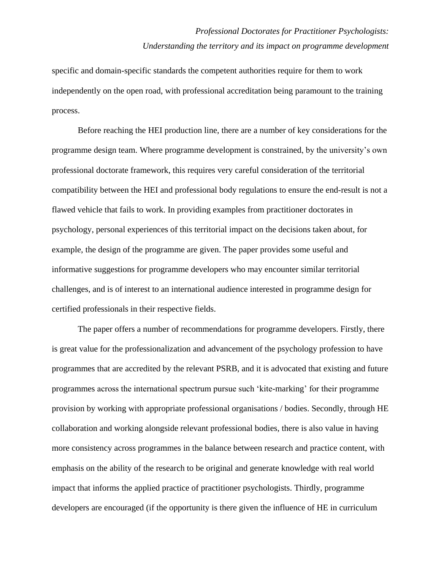specific and domain-specific standards the competent authorities require for them to work independently on the open road, with professional accreditation being paramount to the training process.

Before reaching the HEI production line, there are a number of key considerations for the programme design team. Where programme development is constrained, by the university's own professional doctorate framework, this requires very careful consideration of the territorial compatibility between the HEI and professional body regulations to ensure the end-result is not a flawed vehicle that fails to work. In providing examples from practitioner doctorates in psychology, personal experiences of this territorial impact on the decisions taken about, for example, the design of the programme are given. The paper provides some useful and informative suggestions for programme developers who may encounter similar territorial challenges, and is of interest to an international audience interested in programme design for certified professionals in their respective fields.

The paper offers a number of recommendations for programme developers. Firstly, there is great value for the professionalization and advancement of the psychology profession to have programmes that are accredited by the relevant PSRB, and it is advocated that existing and future programmes across the international spectrum pursue such 'kite-marking' for their programme provision by working with appropriate professional organisations / bodies. Secondly, through HE collaboration and working alongside relevant professional bodies, there is also value in having more consistency across programmes in the balance between research and practice content, with emphasis on the ability of the research to be original and generate knowledge with real world impact that informs the applied practice of practitioner psychologists. Thirdly, programme developers are encouraged (if the opportunity is there given the influence of HE in curriculum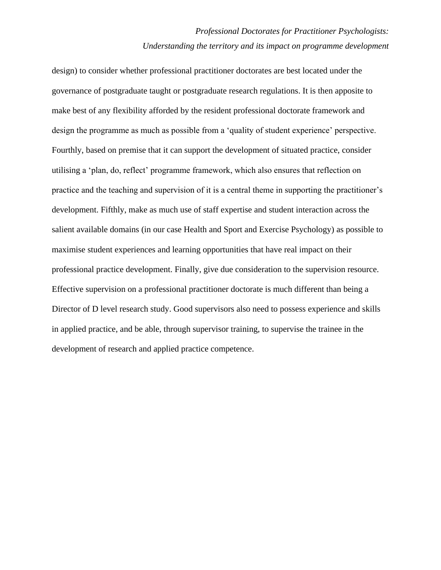design) to consider whether professional practitioner doctorates are best located under the governance of postgraduate taught or postgraduate research regulations. It is then apposite to make best of any flexibility afforded by the resident professional doctorate framework and design the programme as much as possible from a 'quality of student experience' perspective. Fourthly, based on premise that it can support the development of situated practice, consider utilising a 'plan, do, reflect' programme framework, which also ensures that reflection on practice and the teaching and supervision of it is a central theme in supporting the practitioner's development. Fifthly, make as much use of staff expertise and student interaction across the salient available domains (in our case Health and Sport and Exercise Psychology) as possible to maximise student experiences and learning opportunities that have real impact on their professional practice development. Finally, give due consideration to the supervision resource. Effective supervision on a professional practitioner doctorate is much different than being a Director of D level research study. Good supervisors also need to possess experience and skills in applied practice, and be able, through supervisor training, to supervise the trainee in the development of research and applied practice competence.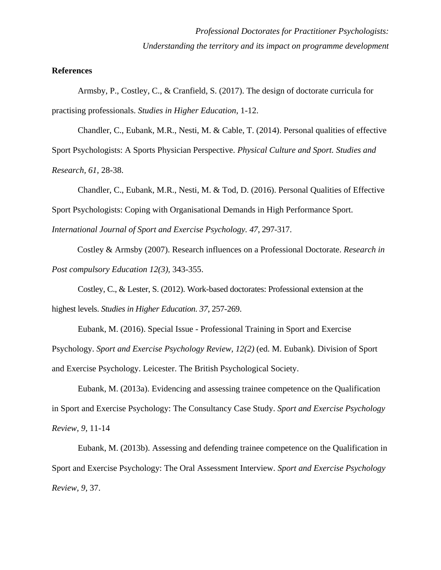#### **References**

Armsby, P., Costley, C., & Cranfield, S. (2017). The design of doctorate curricula for practising professionals. *Studies in Higher Education*, 1-12.

Chandler, C., Eubank, M.R., Nesti, M. & Cable, T. (2014). Personal qualities of effective Sport Psychologists: A Sports Physician Perspective. *Physical Culture and Sport. Studies and Research, 61,* 28-38.

Chandler, C., Eubank, M.R., Nesti, M. & Tod, D. (2016). Personal Qualities of Effective Sport Psychologists: Coping with Organisational Demands in High Performance Sport. *International Journal of Sport and Exercise Psychology. 47*, 297-317.

Costley & Armsby (2007). Research influences on a Professional Doctorate. *Research in Post compulsory Education 12(3),* 343-355.

Costley, C., & Lester, S. (2012). Work-based doctorates: Professional extension at the highest levels. *Studies in Higher Education. 37*, 257-269.

Eubank, M. (2016). Special Issue - Professional Training in Sport and Exercise Psychology. *Sport and Exercise Psychology Review, 12(2)* (ed. M. Eubank)*.* Division of Sport and Exercise Psychology. Leicester. The British Psychological Society.

Eubank, M. (2013a). Evidencing and assessing trainee competence on the Qualification in Sport and Exercise Psychology: The Consultancy Case Study. *Sport and Exercise Psychology Review, 9,* 11-14

Eubank, M. (2013b). Assessing and defending trainee competence on the Qualification in Sport and Exercise Psychology: The Oral Assessment Interview. *Sport and Exercise Psychology Review, 9,* 37.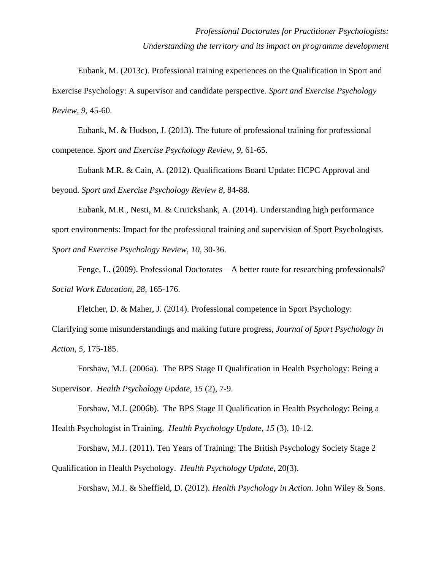Eubank, M. (2013c). Professional training experiences on the Qualification in Sport and Exercise Psychology: A supervisor and candidate perspective. *Sport and Exercise Psychology Review, 9,* 45-60.

Eubank, M. & Hudson, J. (2013). The future of professional training for professional competence. *Sport and Exercise Psychology Review, 9,* 61-65.

Eubank M.R. & Cain, A. (2012). Qualifications Board Update: HCPC Approval and beyond. *Sport and Exercise Psychology Review 8*, 84-88.

Eubank, M.R., Nesti, M. & Cruickshank, A. (2014). Understanding high performance sport environments: Impact for the professional training and supervision of Sport Psychologists. *Sport and Exercise Psychology Review*, *10,* 30-36.

Fenge, L. (2009). [Professional Doctorates—A better route for researching professionals?](http://www.tandfonline.com/doi/abs/10.1080/02615470701865733) *[Social Work Education,](http://www.tandfonline.com/toc/cswe20/28/2) 28,* 165-176.

Fletcher, D. & Maher, J. (2014). Professional competence in Sport Psychology:

Clarifying some misunderstandings and making future progress, *Journal of Sport Psychology in Action, 5,* 175-185.

Forshaw, M.J. (2006a). The BPS Stage II Qualification in Health Psychology: Being a Superviso**r**. *Health Psychology Update*, *15* (2), 7-9.

Forshaw, M.J. (2006b). The BPS Stage II Qualification in Health Psychology: Being a Health Psychologist in Training.*Health Psychology Update, 15* (3), 10-12*.*

Forshaw, M.J. (2011). Ten Years of Training: The British Psychology Society Stage 2 Qualification in Health Psychology. *Health Psychology Update*, 20(3).

Forshaw, M.J. & Sheffield, D. (2012). *Health Psychology in Action*. John Wiley & Sons.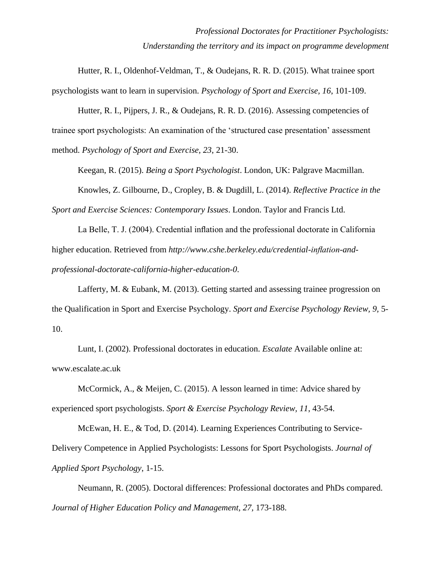Hutter, R. I., Oldenhof-Veldman, T., & Oudejans, R. R. D. (2015). What trainee sport psychologists want to learn in supervision. *Psychology of Sport and Exercise, 16*, 101-109.

Hutter, R. I., Pijpers, J. R., & Oudejans, R. R. D. (2016). Assessing competencies of trainee sport psychologists: An examination of the 'structured case presentation' assessment method. *Psychology of Sport and Exercise, 23*, 21-30.

Keegan, R. (2015). *Being a Sport Psychologist*. London, UK: Palgrave Macmillan.

[Knowles, Z. Gilbourne, D., Cropley, B. & Dugdill,](http://bookshop.blackwell.co.uk/jsp/a/Zoe_Knowles_David_Gilbourne_Brendan_Cropley_Lindsey_Dugdill) L. (2014). *Reflective Practice in the Sport and Exercise Sciences: Contemporary Issues*. London. Taylor and Francis Ltd.

La Belle, T. J. (2004). Credential inflation and the professional doctorate in California higher education. Retrieved from *http://www.cshe.berkeley.edu/credential-inflation-andprofessional-doctorate-california-higher-education-0*.

Lafferty, M. & Eubank, M. (2013). Getting started and assessing trainee progression on the Qualification in Sport and Exercise Psychology. *Sport and Exercise Psychology Review, 9,* 5- 10.

Lunt, I. (2002). Professional doctorates in education. *Escalate* Available online at: www.escalate.ac.uk

McCormick, A., & Meijen, C. (2015). A lesson learned in time: Advice shared by experienced sport psychologists. *Sport & Exercise Psychology Review, 11*, 43-54.

McEwan, H. E., & Tod, D. (2014). Learning Experiences Contributing to Service-Delivery Competence in Applied Psychologists: Lessons for Sport Psychologists. *Journal of Applied Sport Psychology*, 1-15.

Neumann, R. (2005). [Doctoral differences: Professional doctorates and PhDs compared.](http://www.tandfonline.com/doi/abs/10.1080/13600800500120027) *[Journal of Higher Education Policy and Management,](http://www.tandfonline.com/toc/cjhe20/27/2) 27,* 173-188.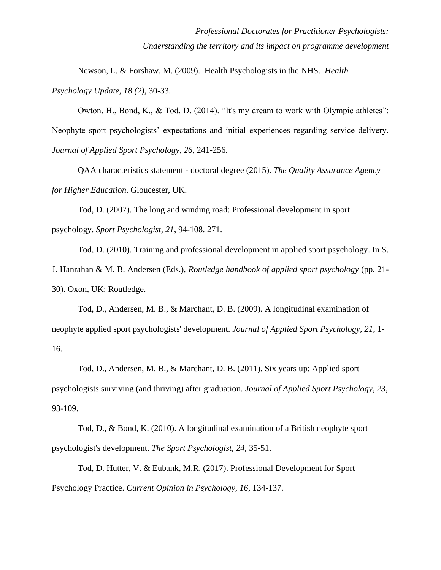Newson, L. & Forshaw, M. (2009). Health Psychologists in the NHS. *Health Psychology Update, 18 (2),* 30-33*.*

Owton, H., Bond, K., & Tod, D. (2014). "It's my dream to work with Olympic athletes": Neophyte sport psychologists' expectations and initial experiences regarding service delivery. *Journal of Applied Sport Psychology, 26*, 241-256.

QAA characteristics statement - doctoral degree (2015). *The Quality Assurance Agency for Higher Education*. Gloucester, UK.

Tod, D. (2007). The long and winding road: Professional development in sport psychology. *Sport Psychologist, 21*, 94-108. 271.

Tod, D. (2010). Training and professional development in applied sport psychology. In S. J. Hanrahan & M. B. Andersen (Eds.), *Routledge handbook of applied sport psychology* (pp. 21-

30). Oxon, UK: Routledge.

Tod, D., Andersen, M. B., & Marchant, D. B. (2009). A longitudinal examination of neophyte applied sport psychologists' development. *Journal of Applied Sport Psychology, 21*, 1- 16.

Tod, D., Andersen, M. B., & Marchant, D. B. (2011). Six years up: Applied sport psychologists surviving (and thriving) after graduation. *Journal of Applied Sport Psychology, 23*, 93-109.

Tod, D., & Bond, K. (2010). A longitudinal examination of a British neophyte sport psychologist's development. *The Sport Psychologist, 24*, 35-51.

Tod, D. Hutter, V. & Eubank, M.R. (2017). [Professional Development for Sport](http://www.sciencedirect.com/science/article/pii/S2352250X16301610)  [Psychology Practice.](http://www.sciencedirect.com/science/article/pii/S2352250X16301610) *Current Opinion in Psychology, 16*, 134-137.